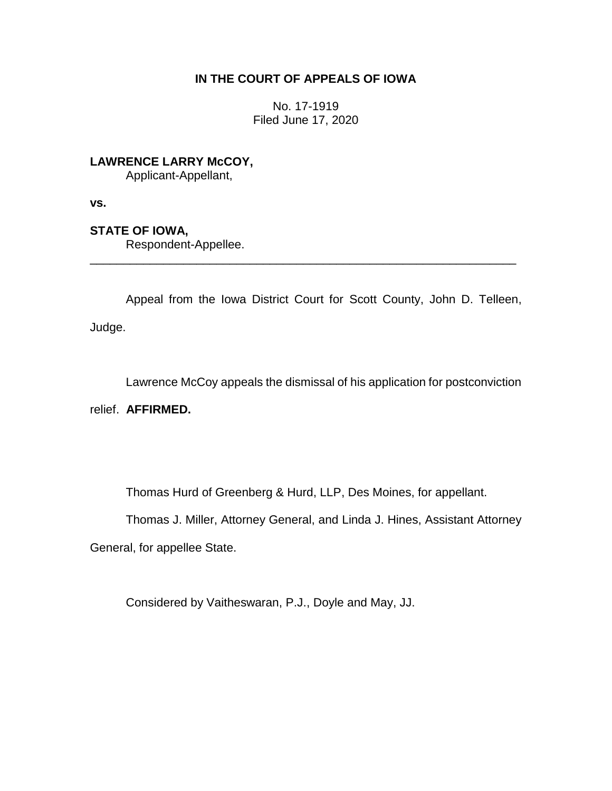## **IN THE COURT OF APPEALS OF IOWA**

No. 17-1919 Filed June 17, 2020

**LAWRENCE LARRY McCOY,**

Applicant-Appellant,

**vs.**

**STATE OF IOWA,**

Respondent-Appellee.

Appeal from the Iowa District Court for Scott County, John D. Telleen, Judge.

\_\_\_\_\_\_\_\_\_\_\_\_\_\_\_\_\_\_\_\_\_\_\_\_\_\_\_\_\_\_\_\_\_\_\_\_\_\_\_\_\_\_\_\_\_\_\_\_\_\_\_\_\_\_\_\_\_\_\_\_\_\_\_\_

Lawrence McCoy appeals the dismissal of his application for postconviction

relief. **AFFIRMED.**

Thomas Hurd of Greenberg & Hurd, LLP, Des Moines, for appellant.

Thomas J. Miller, Attorney General, and Linda J. Hines, Assistant Attorney

General, for appellee State.

Considered by Vaitheswaran, P.J., Doyle and May, JJ.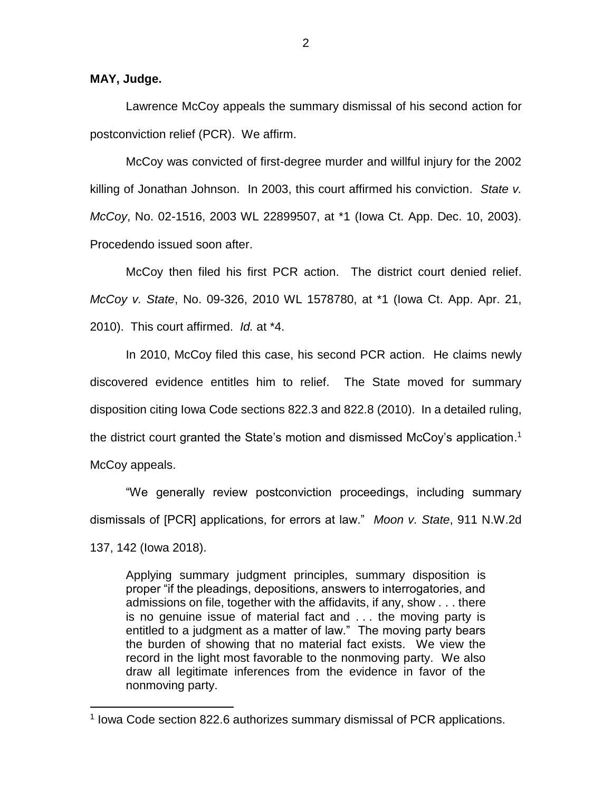**MAY, Judge.**

 $\overline{a}$ 

Lawrence McCoy appeals the summary dismissal of his second action for postconviction relief (PCR). We affirm.

McCoy was convicted of first-degree murder and willful injury for the 2002 killing of Jonathan Johnson. In 2003, this court affirmed his conviction. *State v. McCoy*, No. 02-1516, 2003 WL 22899507, at \*1 (Iowa Ct. App. Dec. 10, 2003). Procedendo issued soon after.

McCoy then filed his first PCR action. The district court denied relief. *McCoy v. State*, No. 09-326, 2010 WL 1578780, at \*1 (Iowa Ct. App. Apr. 21, 2010). This court affirmed. *Id.* at \*4.

In 2010, McCoy filed this case, his second PCR action. He claims newly discovered evidence entitles him to relief. The State moved for summary disposition citing Iowa Code sections 822.3 and 822.8 (2010). In a detailed ruling, the district court granted the State's motion and dismissed McCoy's application.<sup>1</sup> McCoy appeals.

"We generally review postconviction proceedings, including summary dismissals of [PCR] applications, for errors at law." *Moon v. State*, 911 N.W.2d 137, 142 (Iowa 2018).

Applying summary judgment principles, summary disposition is proper "if the pleadings, depositions, answers to interrogatories, and admissions on file, together with the affidavits, if any, show . . . there is no genuine issue of material fact and . . . the moving party is entitled to a judgment as a matter of law." The moving party bears the burden of showing that no material fact exists. We view the record in the light most favorable to the nonmoving party. We also draw all legitimate inferences from the evidence in favor of the nonmoving party.

<sup>&</sup>lt;sup>1</sup> Iowa Code section 822.6 authorizes summary dismissal of PCR applications.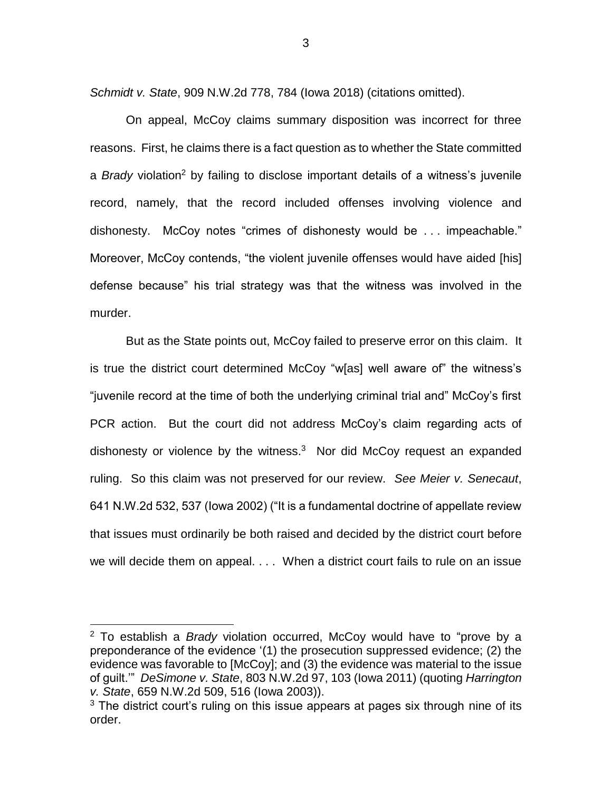*Schmidt v. State*, 909 N.W.2d 778, 784 (Iowa 2018) (citations omitted).

On appeal, McCoy claims summary disposition was incorrect for three reasons. First, he claims there is a fact question as to whether the State committed a *Brady* violation<sup>2</sup> by failing to disclose important details of a witness's juvenile record, namely, that the record included offenses involving violence and dishonesty. McCoy notes "crimes of dishonesty would be . . . impeachable." Moreover, McCoy contends, "the violent juvenile offenses would have aided [his] defense because" his trial strategy was that the witness was involved in the murder.

But as the State points out, McCoy failed to preserve error on this claim. It is true the district court determined McCoy "w[as] well aware of" the witness's "juvenile record at the time of both the underlying criminal trial and" McCoy's first PCR action. But the court did not address McCoy's claim regarding acts of dishonesty or violence by the witness.<sup>3</sup> Nor did McCoy request an expanded ruling. So this claim was not preserved for our review. *See Meier v. Senecaut*, 641 N.W.2d 532, 537 (Iowa 2002) ("It is a fundamental doctrine of appellate review that issues must ordinarily be both raised and decided by the district court before we will decide them on appeal. . . . When a district court fails to rule on an issue

 $\overline{a}$ 

<sup>2</sup> To establish a *Brady* violation occurred, McCoy would have to "prove by a preponderance of the evidence '(1) the prosecution suppressed evidence; (2) the evidence was favorable to [McCoy]; and (3) the evidence was material to the issue of guilt.'" *DeSimone v. State*, 803 N.W.2d 97, 103 (Iowa 2011) (quoting *Harrington v. State*, 659 N.W.2d 509, 516 (Iowa 2003)).

 $3$  The district court's ruling on this issue appears at pages six through nine of its order.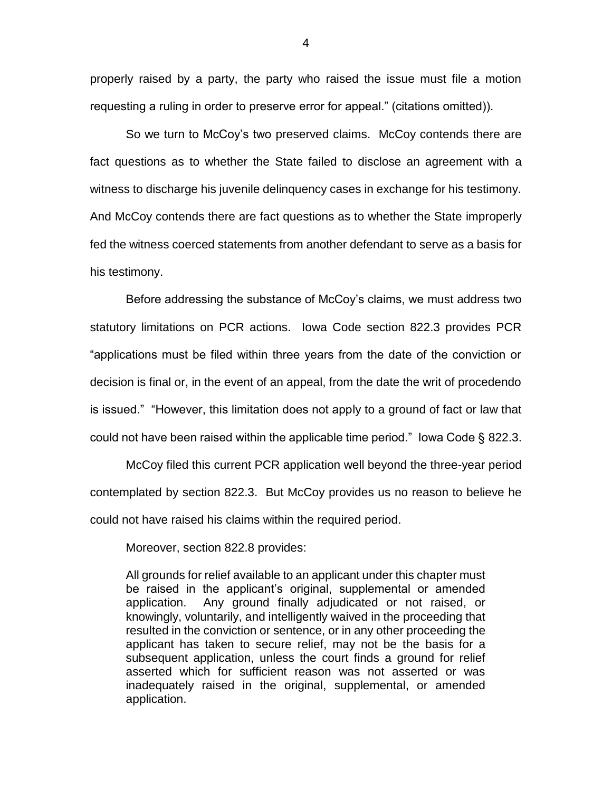properly raised by a party, the party who raised the issue must file a motion requesting a ruling in order to preserve error for appeal." (citations omitted)).

So we turn to McCoy's two preserved claims. McCoy contends there are fact questions as to whether the State failed to disclose an agreement with a witness to discharge his juvenile delinquency cases in exchange for his testimony. And McCoy contends there are fact questions as to whether the State improperly fed the witness coerced statements from another defendant to serve as a basis for his testimony.

Before addressing the substance of McCoy's claims, we must address two statutory limitations on PCR actions. Iowa Code section 822.3 provides PCR "applications must be filed within three years from the date of the conviction or decision is final or, in the event of an appeal, from the date the writ of procedendo is issued." "However, this limitation does not apply to a ground of fact or law that could not have been raised within the applicable time period." Iowa Code § 822.3.

McCoy filed this current PCR application well beyond the three-year period contemplated by section 822.3. But McCoy provides us no reason to believe he could not have raised his claims within the required period.

Moreover, section 822.8 provides:

All grounds for relief available to an applicant under this chapter must be raised in the applicant's original, supplemental or amended application. Any ground finally adjudicated or not raised, or knowingly, voluntarily, and intelligently waived in the proceeding that resulted in the conviction or sentence, or in any other proceeding the applicant has taken to secure relief, may not be the basis for a subsequent application, unless the court finds a ground for relief asserted which for sufficient reason was not asserted or was inadequately raised in the original, supplemental, or amended application.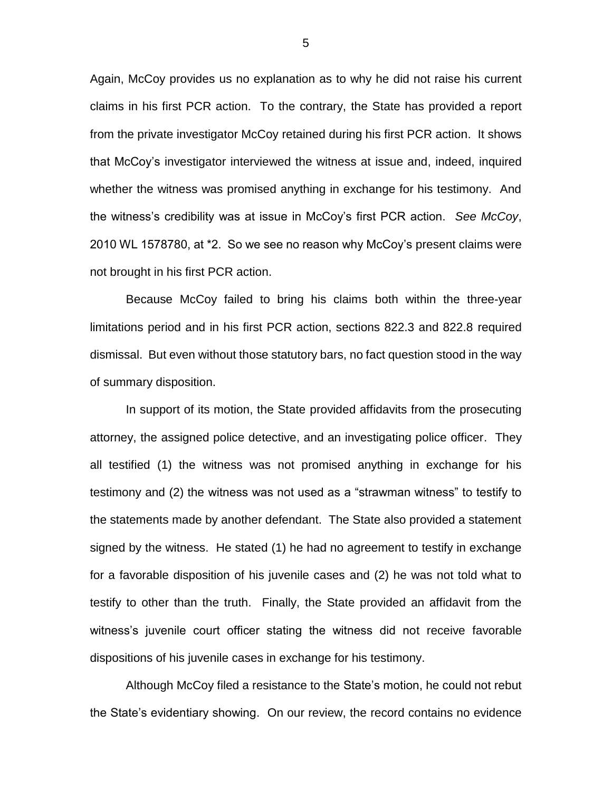Again, McCoy provides us no explanation as to why he did not raise his current claims in his first PCR action. To the contrary, the State has provided a report from the private investigator McCoy retained during his first PCR action. It shows that McCoy's investigator interviewed the witness at issue and, indeed, inquired whether the witness was promised anything in exchange for his testimony. And the witness's credibility was at issue in McCoy's first PCR action. *See McCoy*, 2010 WL 1578780, at \*2. So we see no reason why McCoy's present claims were not brought in his first PCR action.

Because McCoy failed to bring his claims both within the three-year limitations period and in his first PCR action, sections 822.3 and 822.8 required dismissal. But even without those statutory bars, no fact question stood in the way of summary disposition.

In support of its motion, the State provided affidavits from the prosecuting attorney, the assigned police detective, and an investigating police officer. They all testified (1) the witness was not promised anything in exchange for his testimony and (2) the witness was not used as a "strawman witness" to testify to the statements made by another defendant. The State also provided a statement signed by the witness. He stated (1) he had no agreement to testify in exchange for a favorable disposition of his juvenile cases and (2) he was not told what to testify to other than the truth. Finally, the State provided an affidavit from the witness's juvenile court officer stating the witness did not receive favorable dispositions of his juvenile cases in exchange for his testimony.

Although McCoy filed a resistance to the State's motion, he could not rebut the State's evidentiary showing. On our review, the record contains no evidence

5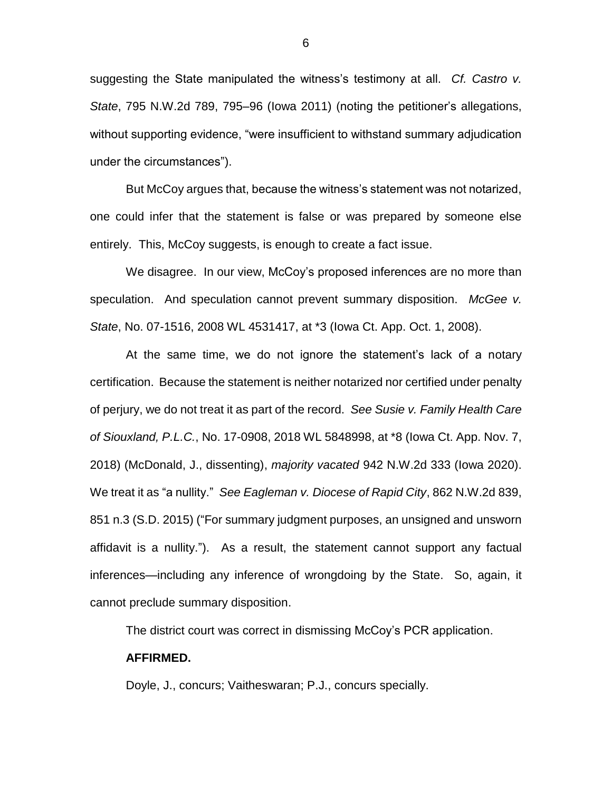suggesting the State manipulated the witness's testimony at all. *Cf. Castro v. State*, 795 N.W.2d 789, 795–96 (Iowa 2011) (noting the petitioner's allegations, without supporting evidence, "were insufficient to withstand summary adjudication under the circumstances").

But McCoy argues that, because the witness's statement was not notarized, one could infer that the statement is false or was prepared by someone else entirely. This, McCoy suggests, is enough to create a fact issue.

We disagree. In our view, McCoy's proposed inferences are no more than speculation. And speculation cannot prevent summary disposition. *McGee v. State*, No. 07-1516, 2008 WL 4531417, at \*3 (Iowa Ct. App. Oct. 1, 2008).

At the same time, we do not ignore the statement's lack of a notary certification. Because the statement is neither notarized nor certified under penalty of perjury, we do not treat it as part of the record. *See Susie v. Family Health Care of Siouxland, P.L.C.*, No. 17-0908, 2018 WL 5848998, at \*8 (Iowa Ct. App. Nov. 7, 2018) (McDonald, J., dissenting), *majority vacated* 942 N.W.2d 333 (Iowa 2020). We treat it as "a nullity." *See Eagleman v. Diocese of Rapid City*, 862 N.W.2d 839, 851 n.3 (S.D. 2015) ("For summary judgment purposes, an unsigned and unsworn affidavit is a nullity."). As a result, the statement cannot support any factual inferences—including any inference of wrongdoing by the State. So, again, it cannot preclude summary disposition.

The district court was correct in dismissing McCoy's PCR application.

## **AFFIRMED.**

Doyle, J., concurs; Vaitheswaran; P.J., concurs specially.

6